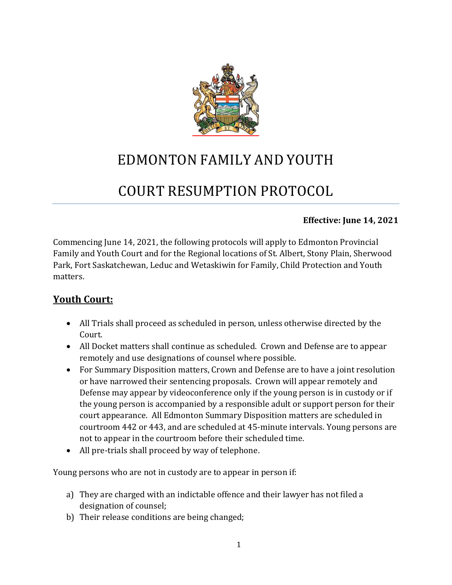

## EDMONTON FAMILY AND YOUTH

# COURT RESUMPTION PROTOCOL

#### **Effective: June 14, 2021**

Commencing June 14, 2021, the following protocols will apply to Edmonton Provincial Family and Youth Court and for the Regional locations of St. Albert, Stony Plain, Sherwood Park, Fort Saskatchewan, Leduc and Wetaskiwin for Family, Child Protection and Youth matters.

### **Youth Court:**

- All Trials shall proceed as scheduled in person, unless otherwise directed by the Court.
- All Docket matters shall continue as scheduled. Crown and Defense are to appear remotely and use designations of counsel where possible.
- For Summary Disposition matters, Crown and Defense are to have a joint resolution or have narrowed their sentencing proposals. Crown will appear remotely and Defense may appear by videoconference only if the young person is in custody or if the young person is accompanied by a responsible adult or support person for their court appearance. All Edmonton Summary Disposition matters are scheduled in courtroom 442 or 443, and are scheduled at 45-minute intervals. Young persons are not to appear in the courtroom before their scheduled time.
- All pre-trials shall proceed by way of telephone.

Young persons who are not in custody are to appear in person if:

- a) They are charged with an indictable offence and their lawyer has not filed a designation of counsel;
- b) Their release conditions are being changed;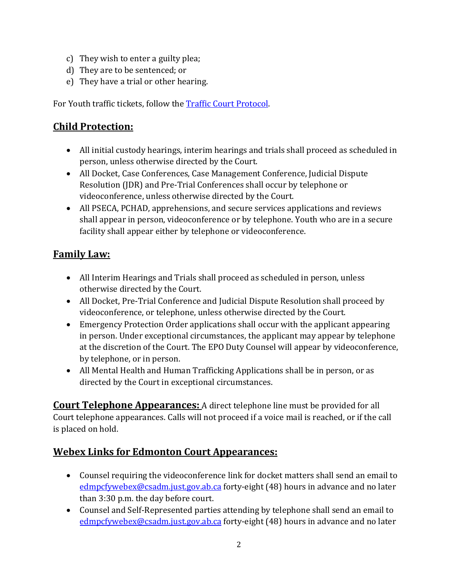- c) They wish to enter a guilty plea;
- d) They are to be sentenced; or
- e) They have a trial or other hearing.

For Youth traffic tickets, follow the [Traffic Court Protocol.](https://albertacourts.ca/docs/default-source/pc/covid-19-traffic-resumption-protocol-phase-4-(addendum).pdf?sfvrsn=627d7283_3)

#### **Child Protection:**

- All initial custody hearings, interim hearings and trials shall proceed as scheduled in person, unless otherwise directed by the Court.
- All Docket, Case Conferences, Case Management Conference, Judicial Dispute Resolution (JDR) and Pre-Trial Conferences shall occur by telephone or videoconference, unless otherwise directed by the Court.
- All PSECA, PCHAD, apprehensions, and secure services applications and reviews shall appear in person, videoconference or by telephone. Youth who are in a secure facility shall appear either by telephone or videoconference.

#### **Family Law:**

- All Interim Hearings and Trials shall proceed as scheduled in person, unless otherwise directed by the Court.
- All Docket, Pre-Trial Conference and Judicial Dispute Resolution shall proceed by videoconference, or telephone, unless otherwise directed by the Court.
- Emergency Protection Order applications shall occur with the applicant appearing in person. Under exceptional circumstances, the applicant may appear by telephone at the discretion of the Court. The EPO Duty Counsel will appear by videoconference, by telephone, or in person.
- All Mental Health and Human Trafficking Applications shall be in person, or as directed by the Court in exceptional circumstances.

**Court Telephone Appearances:** A direct telephone line must be provided for all Court telephone appearances. Calls will not proceed if a voice mail is reached, or if the call is placed on hold.

#### **Webex Links for Edmonton Court Appearances:**

- Counsel requiring the videoconference link for docket matters shall send an email to [edmpcfywebex@csadm.just.gov.ab.ca](mailto:edmpcfywebex@csadm.just.gov.ab.ca) forty-eight (48) hours in advance and no later than 3:30 p.m. the day before court.
- Counsel and Self-Represented parties attending by telephone shall send an email to [edmpcfywebex@csadm.just.gov.ab.ca](mailto:edmpcfywebex@csadm.just.gov.ab.ca) forty-eight (48) hours in advance and no later